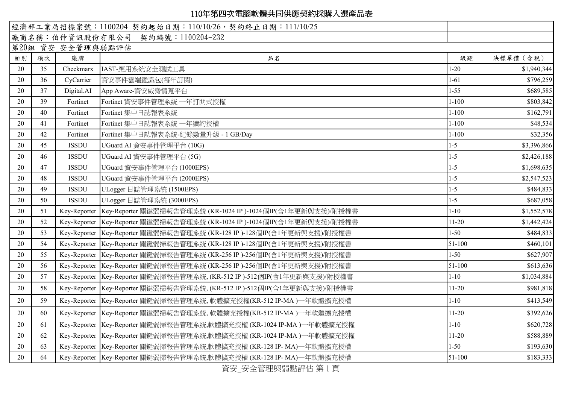|    |    |                   | 經濟部工業局招標案號: 1100204 契約起始日期: 110/10/26, 契約終止日期: 111/10/25                 |            |             |
|----|----|-------------------|--------------------------------------------------------------------------|------------|-------------|
|    |    |                   | 廠商名稱:伯仲資訊股份有限公司 契約編號:1100204-232                                         |            |             |
|    |    | 第20組 資安_安全管理與弱點評估 |                                                                          |            |             |
| 組別 | 項次 | 廠牌                | 品名                                                                       | 級距         | 決標單價 (含稅)   |
| 20 | 35 | Checkmarx         | IAST-應用系統安全測試工具                                                          | $1 - 20$   | \$1,940,344 |
| 20 | 36 | CyCarrier         | 資安事件雲端鑑識包(每年訂閱)                                                          | $1 - 61$   | \$796,259   |
| 20 | 37 | Digital.AI        | App Aware-資安威脅情蒐平台                                                       | $1 - 55$   | \$689,585   |
| 20 | 39 | Fortinet          | Fortinet 資安事件管理系統 一年訂閱式授權                                                | $1 - 100$  | \$803,842   |
| 20 | 40 | Fortinet          | Fortinet 集中日誌報表系統                                                        | $1 - 100$  | \$162,791   |
| 20 | 41 | Fortinet          | Fortinet 集中日誌報表系統 一年續約授權                                                 | $1 - 100$  | \$48,534    |
| 20 | 42 | Fortinet          | Fortinet 集中日誌報表系統-紀錄數量升級 - 1 GB/Day                                      | $1 - 100$  | \$32,356    |
| 20 | 45 | <b>ISSDU</b>      | UGuard AI 資安事件管理平台 (10G)                                                 | $1 - 5$    | \$3,396,866 |
| 20 | 46 | <b>ISSDU</b>      | UGuard AI 資安事件管理平台(5G)                                                   | $1 - 5$    | \$2,426,188 |
| 20 | 47 | <b>ISSDU</b>      | UGuard 資安事件管理平台 (1000EPS)                                                | $1 - 5$    | \$1,698,635 |
| 20 | 48 | <b>ISSDU</b>      | UGuard 資安事件管理平台 (2000EPS)                                                | $1-5$      | \$2,547,523 |
| 20 | 49 | <b>ISSDU</b>      | ULogger 日誌管理系統 (1500EPS)                                                 | $1 - 5$    | \$484,833   |
| 20 | 50 | <b>ISSDU</b>      | ULogger 日誌管理系統 (3000EPS)                                                 | $1 - 5$    | \$687,058   |
| 20 | 51 | Key-Reporter      | Key-Reporter 關鍵弱掃報告管理系統 (KR-1024 IP )-1024個IP(含1年更新與支援)/附授權書             | $1 - 10$   | \$1,552,578 |
| 20 | 52 | Key-Reporter      | Key-Reporter 關鍵弱掃報告管理系統 (KR-1024 IP )-1024個IP(含1年更新與支援)/附授權書             | $11 - 20$  | \$1,442,424 |
| 20 | 53 |                   | Key-Reporter Key-Reporter 關鍵弱掃報告管理系統 (KR-128 IP )-128個IP(含1年更新與支援)/附授權書  | $1 - 50$   | \$484,833   |
| 20 | 54 | Key-Reporter      | Key-Reporter 關鍵弱掃報告管理系統 (KR-128 IP )-128個IP(含1年更新與支援)/附授權書               | 51-100     | \$460,101   |
| 20 | 55 |                   | Key-Reporter Key-Reporter 關鍵弱掃報告管理系統 (KR-256 IP )-256個IP(含1年更新與支援)/附授權書  | $1 - 50$   | \$627,907   |
| 20 | 56 |                   | Key-Reporter Key-Reporter 關鍵弱掃報告管理系統 (KR-256 IP )-256個IP(含1年更新與支援)/附授權書  | $51 - 100$ | \$613,636   |
| 20 | 57 |                   | Key-Reporter Key-Reporter 關鍵弱掃報告管理系統, (KR-512 IP)-512個IP(含1年更新與支援)/附授權書  | $1 - 10$   | \$1,034,884 |
| 20 | 58 |                   | Key-Reporter Key-Reporter 關鍵弱掃報告管理系統, (KR-512 IP )-512個IP(含1年更新與支援)/附授權書 | $11 - 20$  | \$981,818   |
| 20 | 59 |                   | Key-Reporter Key-Reporter 關鍵弱掃報告管理系統, 軟體擴充授權(KR-512 IP-MA)一年軟體擴充授權       | $1 - 10$   | \$413,549   |
| 20 | 60 |                   | Key-Reporter Key-Reporter 關鍵弱掃報告管理系統, 軟體擴充授權(KR-512 IP-MA)一年軟體擴充授權       | $11 - 20$  | \$392,626   |
| 20 | 61 |                   | Key-Reporter Key-Reporter 關鍵弱掃報告管理系統,軟體擴充授權 (KR-1024 IP-MA )一年軟體擴充授權     | $1 - 10$   | \$620,728   |
| 20 | 62 |                   | Key-Reporter Key-Reporter 關鍵弱掃報告管理系統,軟體擴充授權 (KR-1024 IP-MA )一年軟體擴充授權     | $11 - 20$  | \$588,889   |
| 20 | 63 |                   | Key-Reporter Key-Reporter 關鍵弱掃報告管理系統,軟體擴充授權 (KR-128 IP-MA)一年軟體擴充授權       | $1 - 50$   | \$193,630   |
| 20 | 64 |                   | Key-Reporter Key-Reporter 關鍵弱掃報告管理系統,軟體擴充授權 (KR-128 IP-MA)一年軟體擴充授權       | 51-100     | \$183,333   |

資安\_安全管理與弱點評估 第 1 頁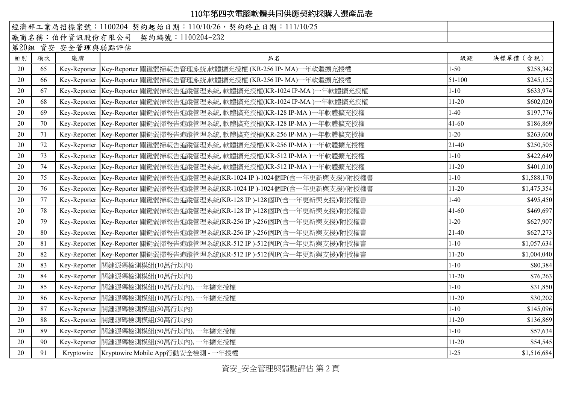|    |    |                   | 經濟部工業局招標案號: 1100204 契約起始日期: 110/10/26, 契約終止日期: 111/10/25                  |           |             |
|----|----|-------------------|---------------------------------------------------------------------------|-----------|-------------|
|    |    |                   | 廠商名稱:伯仲資訊股份有限公司 契約編號:1100204-232                                          |           |             |
|    |    | 第20組 資安_安全管理與弱點評估 |                                                                           |           |             |
| 組別 | 項次 | 廠牌                | 品名                                                                        | 級距        | 決標單價 (含稅)   |
| 20 | 65 |                   | Key-Reporter Key-Reporter 關鍵弱掃報告管理系統,軟體擴充授權 (KR-256 IP-MA)一年軟體擴充授權        | $1 - 50$  | \$258,342   |
| 20 | 66 |                   | Key-Reporter Key-Reporter 關鍵弱掃報告管理系統,軟體擴充授權 (KR-256 IP- MA)一年軟體擴充授權       | 51-100    | \$245,152   |
| 20 | 67 |                   | Key-Reporter Key-Reporter 關鍵弱掃報告追蹤管理系統, 軟體擴充授權(KR-1024 IP-MA)一年軟體擴充授權     | $1 - 10$  | \$633,974   |
| 20 | 68 |                   | Key-Reporter Key-Reporter 關鍵弱掃報告追蹤管理系統, 軟體擴充授權(KR-1024 IP-MA)一年軟體擴充授權     | $11-20$   | \$602,020   |
| 20 | 69 |                   | Key-Reporter Key-Reporter 關鍵弱掃報告追蹤管理系統, 軟體擴充授權(KR-128 IP-MA)一年軟體擴充授權      | $1-40$    | \$197,776   |
| 20 | 70 |                   | Key-Reporter Key-Reporter 關鍵弱掃報告追蹤管理系統, 軟體擴充授權(KR-128 IP-MA)一年軟體擴充授權      | $41 - 60$ | \$186,869   |
| 20 | 71 |                   | Key-Reporter Key-Reporter 關鍵弱掃報告追蹤管理系統, 軟體擴充授權(KR-256 IP-MA)一年軟體擴充授權      | $1 - 20$  | \$263,600   |
| 20 | 72 |                   | Key-Reporter Key-Reporter 關鍵弱掃報告追蹤管理系統, 軟體擴充授權(KR-256 IP-MA)一年軟體擴充授權      | $21-40$   | \$250,505   |
| 20 | 73 |                   | Key-Reporter Key-Reporter 關鍵弱掃報告追蹤管理系統, 軟體擴充授權(KR-512 IP-MA)一年軟體擴充授權      | $1 - 10$  | \$422,649   |
| 20 | 74 |                   | Key-Reporter Key-Reporter 關鍵弱掃報告追蹤管理系統, 軟體擴充授權(KR-512 IP-MA)一年軟體擴充授權      | $11 - 20$ | \$401,010   |
| 20 | 75 |                   | Key-Reporter Key-Reporter 關鍵弱掃報告追蹤管理系統(KR-1024 IP)-1024個IP(含一年更新與支援)/附授權書 | $1 - 10$  | \$1,588,170 |
| 20 | 76 |                   | Key-Reporter Key-Reporter 關鍵弱掃報告追蹤管理系統(KR-1024 IP)-1024個IP(含一年更新與支援)/附授權書 | $11 - 20$ | \$1,475,354 |
| 20 | 77 |                   | Key-Reporter Key-Reporter 關鍵弱掃報告追蹤管理系統(KR-128 IP)-128個IP(含一年更新與支援)/附授權書   | $1-40$    | \$495,450   |
| 20 | 78 |                   | Key-Reporter Key-Reporter 關鍵弱掃報告追蹤管理系統(KR-128 IP)-128個IP(含一年更新與支援)/附授權書   | $41 - 60$ | \$469,697   |
| 20 | 79 |                   | Key-Reporter Key-Reporter 關鍵弱掃報告追蹤管理系統(KR-256 IP)-256個IP(含一年更新與支援)/附授權書   | $1 - 20$  | \$627,907   |
| 20 | 80 |                   | Key-Reporter Key-Reporter 關鍵弱掃報告追蹤管理系統(KR-256 IP)-256個IP(含一年更新與支援)/附授權書   | 21-40     | \$627,273   |
| 20 | 81 |                   | Key-Reporter Key-Reporter 關鍵弱掃報告追蹤管理系統(KR-512 IP)-512個IP(含一年更新與支援)/附授權書   | $1 - 10$  | \$1,057,634 |
| 20 | 82 |                   | Key-Reporter Key-Reporter 關鍵弱掃報告追蹤管理系統(KR-512 IP)-512個IP(含一年更新與支援)/附授權書   | $11-20$   | \$1,004,040 |
| 20 | 83 | Key-Reporter      | 關鍵源碼檢測模組(10萬行以內)                                                          | $1 - 10$  | \$80,384    |
| 20 | 84 | Key-Reporter      | 關鍵源碼檢測模組(10萬行以內)                                                          | $11 - 20$ | \$76,263    |
| 20 | 85 | Key-Reporter      | 關鍵源碼檢測模組(10萬行以內),一年擴充授權                                                   | $1 - 10$  | \$31,850    |
| 20 | 86 | Key-Reporter      | 關鍵源碼檢測模組(10萬行以內),一年擴充授權                                                   | $11 - 20$ | \$30,202    |
| 20 | 87 | Key-Reporter      | 關鍵源碼檢測模組(50萬行以內)                                                          | $1 - 10$  | \$145,096   |
| 20 | 88 | Key-Reporter      | 關鍵源碼檢測模組(50萬行以內)                                                          | $11 - 20$ | \$136,869   |
| 20 | 89 | Key-Reporter      | 關鍵源碼檢測模組(50萬行以內),一年擴充授權                                                   | $1 - 10$  | \$57,634    |
| 20 | 90 | Key-Reporter      | 關鍵源碼檢測模組(50萬行以內),一年擴充授權                                                   | $11 - 20$ | \$54,545    |
| 20 | 91 | Kryptowire        | Kryptowire Mobile App行動安全檢測 - 一年授權                                        | $1 - 25$  | \$1,516,684 |

資安\_安全管理與弱點評估 第 2 頁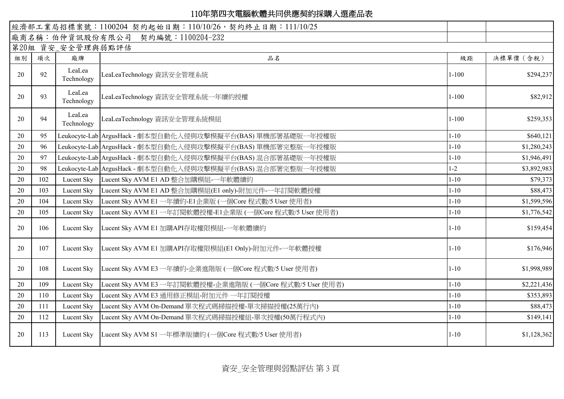|    | 經濟部工業局招標案號: 1100204 契約起始日期: 110/10/26, 契約終止日期: 111/10/25 |                      |                                                             |           |             |  |
|----|----------------------------------------------------------|----------------------|-------------------------------------------------------------|-----------|-------------|--|
|    |                                                          |                      | 廠商名稱:伯仲資訊股份有限公司 契約編號:1100204-232                            |           |             |  |
|    |                                                          | 第20組 資安_安全管理與弱點評估    |                                                             |           |             |  |
| 組別 | 項次                                                       | 廠牌                   | 品名                                                          | 級距        | 決標單價 (含稅)   |  |
| 20 | 92                                                       | LeaLea<br>Technology | LeaLeaTechnology 資訊安全管理系統                                   | $1 - 100$ | \$294,237   |  |
| 20 | 93                                                       | LeaLea<br>Technology | LeaLeaTechnology 資訊安全管理系統一年續約授權                             | $1 - 100$ | \$82,912    |  |
| 20 | 94                                                       | LeaLea<br>Technology | LeaLeaTechnology 資訊安全管理系統模組                                 | $1 - 100$ | \$259,353   |  |
| 20 | 95                                                       |                      | Leukocyte-Lab ArgusHack - 劇本型自動化入侵與攻擊模擬平台(BAS) 單機部署基礎版一年授權版 | $1 - 10$  | \$640,121   |  |
| 20 | 96                                                       |                      | Leukocyte-Lab ArgusHack - 劇本型自動化入侵與攻擊模擬平台(BAS) 單機部署完整版一年授權版 | $1 - 10$  | \$1,280,243 |  |
| 20 | 97                                                       |                      | Leukocyte-Lab ArgusHack - 劇本型自動化入侵與攻擊模擬平台(BAS) 混合部署基礎版一年授權版 | $1 - 10$  | \$1,946,491 |  |
| 20 | 98                                                       |                      | Leukocyte-Lab ArgusHack - 劇本型自動化入侵與攻擊模擬平台(BAS) 混合部署完整版一年授權版 | $1 - 2$   | \$3,892,983 |  |
| 20 | 102                                                      | Lucent Sky           | Lucent Sky AVM E1 AD 整合加購模組-一年軟體續約                          | $1 - 10$  | \$79,373    |  |
| 20 | 103                                                      | Lucent Sky           | Lucent Sky AVM E1 AD 整合加購模組(E1 only)-附加元件-一年訂閱軟體授權          | $1 - 10$  | \$88,473    |  |
| 20 | 104                                                      | Lucent Sky           | Lucent Sky AVM E1 一年續約-E1企業版 (一個Core 程式數/5 User 使用者)        | $1 - 10$  | \$1,599,596 |  |
| 20 | 105                                                      | Lucent Sky           | Lucent Sky AVM E1 一年訂閱軟體授權-E1企業版 (一個Core 程式數/5 User 使用者)    | $1 - 10$  | \$1,776,542 |  |
| 20 | 106                                                      | Lucent Sky           | Lucent Sky AVM E1 加購API存取權限模組-一年軟體續約                        | $1 - 10$  | \$159,454   |  |
| 20 | 107                                                      | Lucent Sky           | Lucent Sky AVM E1 加購API存取權限模組(E1 Only)-附加元件-一年軟體授權          | $1 - 10$  | \$176,946   |  |
| 20 | 108                                                      | Lucent Sky           | Lucent Sky AVM E3 一年續約-企業進階版 (一個Core 程式數/5 User 使用者)        | $1 - 10$  | \$1,998,989 |  |
| 20 | 109                                                      | Lucent Sky           | Lucent Sky AVM E3 一年訂閱軟體授權-企業進階版 (一個Core 程式數/5 User 使用者)    | $1 - 10$  | \$2,221,436 |  |
| 20 | 110                                                      | Lucent Sky           | Lucent Sky AVM E3 通用修正模組-附加元件 一年訂閱授權                        | $1 - 10$  | \$353,893   |  |
| 20 | 111                                                      | Lucent Sky           | Lucent Sky AVM On-Demand 單次程式碼掃描授權-單次掃描授權(25萬行內)            | $1 - 10$  | \$88,473    |  |
| 20 | 112                                                      | Lucent Sky           | Lucent Sky AVM On-Demand 單次程式碼掃描授權組-單次授權(50萬行程式內)           | $1 - 10$  | \$149,141   |  |
| 20 | 113                                                      | Lucent Sky           | Lucent Sky AVM S1 一年標準版續約 (一個Core 程式數/5 User 使用者)           | $1 - 10$  | \$1,128,362 |  |

資安\_安全管理與弱點評估 第 3 頁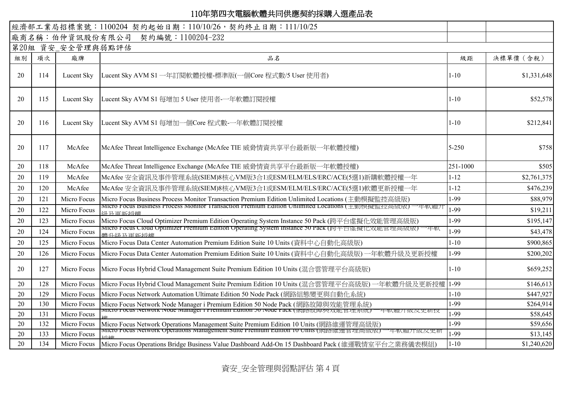|    |     |                   | 經濟部工業局招標案號: 1100204 契約起始日期: 110/10/26, 契約終止日期: 111/10/25                                                                                                                       |          |             |
|----|-----|-------------------|--------------------------------------------------------------------------------------------------------------------------------------------------------------------------------|----------|-------------|
|    |     |                   | 廠商名稱:伯仲資訊股份有限公司 契約編號:1100204-232                                                                                                                                               |          |             |
|    |     | 第20組 資安_安全管理與弱點評估 |                                                                                                                                                                                |          |             |
| 組別 | 項次  | 廠牌                | 品名                                                                                                                                                                             | 級距       | 決標單價 (含稅)   |
| 20 | 114 | Lucent Sky        | Lucent Sky AVM S1 一年訂閱軟體授權-標準版(一個Core 程式數/5 User 使用者)                                                                                                                          | $1 - 10$ | \$1,331,648 |
| 20 | 115 | Lucent Sky        | Lucent Sky AVM S1 每增加 5 User 使用者-一年軟體訂閱授權                                                                                                                                      | $1 - 10$ | \$52,578    |
| 20 | 116 | Lucent Sky        | Lucent Sky AVM S1 每增加一個Core 程式數-一年軟體訂閱授權                                                                                                                                       | $1 - 10$ | \$212,841   |
| 20 | 117 | McAfee            | McAfee Threat Intelligence Exchange (McAfee TIE 威脅情資共享平台最新版一年軟體授權)                                                                                                             | 5-250    | \$758       |
| 20 | 118 | McAfee            | McAfee Threat Intelligence Exchange (McAfee TIE 威脅情資共享平台最新版一年軟體授權)                                                                                                             | 251-1000 | \$505       |
| 20 | 119 | McAfee            | McAfee 安全資訊及事件管理系統(SIEM)8核心VM版3合1或ESM/ELM/ELS/ERC/ACE(5選1)新購軟體授權一年                                                                                                             | $1 - 12$ | \$2,761,375 |
| 20 | 120 | McAfee            | McAfee 安全資訊及事件管理系統(SIEM)8核心VM版3合1或ESM/ELM/ELS/ERC/ACE(5選1)軟體更新授權一年                                                                                                             | $1 - 12$ | \$476,239   |
| 20 | 121 | Micro Focus       | Micro Focus Business Process Monitor Transaction Premium Edition Unlimited Locations (主動模擬監控高級版)                                                                               | 1-99     | \$88,979    |
| 20 | 122 | Micro Focus       | MICTO FOCUS BUSINESS PTOCESS MONITOT TRANSACTION PTEMIUM EQUION UNIIMITEC LOCATIONS (土動俣擬監控局級版)一平戦履力<br>迅压再始慢慢                                                                 | 1-99     | \$19,211    |
| 20 | 123 | Micro Focus       | Micro Focus Cloud Optimizer Premium Edition Operating System Instance 50 Pack (跨平台虛擬化效能管理高級版)                                                                                  | 1-99     | \$195,147   |
| 20 | 124 | Micro Focus       | Micro Focus Cloud Optimizer Premium Edition Operating System Instance 50 Pack (跨平百庫擬化双胞官理尚級版)<br>一平軟<br>典北级卫宙站场棚                                                               | 1-99     | \$43,478    |
| 20 | 125 | Micro Focus       | Micro Focus Data Center Automation Premium Edition Suite 10 Units (資料中心自動化高級版)                                                                                                 | $1 - 10$ | \$900,865   |
| 20 | 126 | Micro Focus       | Micro Focus Data Center Automation Premium Edition Suite 10 Units (資料中心自動化高級版) 一年軟體升級及更新授權                                                                                     | 1-99     | \$200,202   |
| 20 | 127 | Micro Focus       | Micro Focus Hybrid Cloud Management Suite Premium Edition 10 Units (混合雲管理平台高級版)                                                                                                | $1 - 10$ | \$659,252   |
| 20 | 128 | Micro Focus       | Micro Focus Hybrid Cloud Management Suite Premium Edition 10 Units (混合雲管理平台高級版)<br>一年軟體升級及更新授權                                                                                 | $1-99$   | \$146,613   |
| 20 | 129 | Micro Focus       | Micro Focus Network Automation Ultimate Edition 50 Node Pack (網路組態變更與自動化系統)                                                                                                    | $1 - 10$ | \$447,927   |
| 20 | 130 | Micro Focus       | Micro Focus Network Node Manager i Premium Edition 50 Node Pack (網路故障與效能管理系統)                                                                                                  | 1-99     | \$264,914   |
| 20 | 131 | Micro Focus       | iviicro Focus Network Node Manager i Premium Edition 50 Node Pack (神路政庫架双距日理系統) 一平駅脰丌叙及史新ff                                                                                    | 1-99     | \$58,645    |
| 20 | 132 | Micro Focus       | Micro Focus Network Operations Management Suite Premium Edition 10 Units (網路維運管理高級版)<br>  MICro Focus Network Operations Management Suite Premium Edition To Units (網路經理官理高級成) | 1-99     | \$59,656    |
| 20 | 133 | Micro Focus       |                                                                                                                                                                                | 1-99     | \$13,145    |
| 20 | 134 | Micro Focus       | Micro Focus Operations Bridge Business Value Dashboard Add-On 15 Dashboard Pack (維運戰情室平台之業務儀表模組)                                                                               | $1 - 10$ | \$1,240,620 |

資安\_安全管理與弱點評估 第 4 頁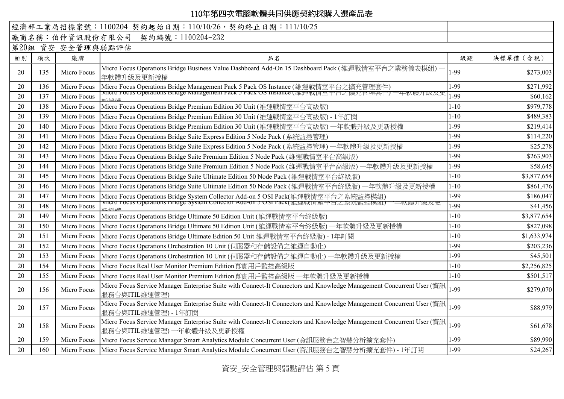|    |                   |                 | 經濟部工業局招標案號: 1100204 契約起始日期: 110/10/26, 契約終止日期: 111/10/25                                                                                                               |          |             |  |  |  |
|----|-------------------|-----------------|------------------------------------------------------------------------------------------------------------------------------------------------------------------------|----------|-------------|--|--|--|
|    |                   | 廠商名稱:伯仲資訊股份有限公司 | 契約編號: 1100204-232                                                                                                                                                      |          |             |  |  |  |
|    | 第20組 資安_安全管理與弱點評估 |                 |                                                                                                                                                                        |          |             |  |  |  |
| 組別 | 項次                | 廠牌              | 品名                                                                                                                                                                     | 級距       | 決標單價 (含稅)   |  |  |  |
| 20 | 135               | Micro Focus     | Micro Focus Operations Bridge Business Value Dashboard Add-On 15 Dashboard Pack (維運戰情室平台之業務儀表模組)<br>年軟體升級及更新授權                                                         | 1-99     | \$273,003   |  |  |  |
| 20 | 136               | Micro Focus     | Micro Focus Operations Bridge Management Pack 5 Pack OS Instance (維運戰情室平台之擴充管理套件)<br>MICTO Focus Operations Bridge Management Pack 5 Pack OS Instance (維理戦頂至平台之癲九官理套件) | 1-99     | \$271,992   |  |  |  |
| 20 | 137               | Micro Focus     |                                                                                                                                                                        | 1-99     | \$60,162    |  |  |  |
| 20 | 138               | Micro Focus     | Micro Focus Operations Bridge Premium Edition 30 Unit (維運戰情室平台高級版)                                                                                                     | $1 - 10$ | \$979,778   |  |  |  |
| 20 | 139               | Micro Focus     | Micro Focus Operations Bridge Premium Edition 30 Unit (維運戰情室平台高級版) - 1年訂閱                                                                                              | $1 - 10$ | \$489,383   |  |  |  |
| 20 | 140               | Micro Focus     | Micro Focus Operations Bridge Premium Edition 30 Unit (維運戰情室平台高級版) 一年軟體升級及更新授權                                                                                         | 1-99     | \$219,414   |  |  |  |
| 20 | 141               | Micro Focus     | Micro Focus Operations Bridge Suite Express Edition 5 Node Pack (系統監控管理)                                                                                               | 1-99     | \$114,220   |  |  |  |
| 20 | 142               | Micro Focus     | Micro Focus Operations Bridge Suite Express Edition 5 Node Pack (系統監控管理) 一年軟體升級及更新授權                                                                                   | 1-99     | \$25,278    |  |  |  |
| 20 | 143               | Micro Focus     | Micro Focus Operations Bridge Suite Premium Edition 5 Node Pack (維運戰情室平台高級版)                                                                                           | 1-99     | \$263,903   |  |  |  |
| 20 | 144               | Micro Focus     | Micro Focus Operations Bridge Suite Premium Edition 5 Node Pack (維運戰情室平台高級版)<br>一年軟體升級及更新授權                                                                            | 1-99     | \$58,645    |  |  |  |
| 20 | 145               | Micro Focus     | Micro Focus Operations Bridge Suite Ultimate Edition 50 Node Pack (維運戰情室平台終級版)                                                                                         | $1 - 10$ | \$3,877,654 |  |  |  |
| 20 | 146               | Micro Focus     | Micro Focus Operations Bridge Suite Ultimate Edition 50 Node Pack (維運戰情室平台終級版)<br>一年軟體升級及更新授權                                                                          | $1 - 10$ | \$861,476   |  |  |  |
| 20 | 147               | Micro Focus     | Micro Focus Operations Bridge System Collector Add-on 5 OSI Pack(維運戰情室平台之系統監控模組)<br>micro Focus Operations Bridge System Collector Add-on 5 OSI Pack(離理戦頂至平古之系統監控保紐)   | 1-99     | \$186,047   |  |  |  |
| 20 | 148               | Micro Focus     | 平戦腹丌叙及史                                                                                                                                                                | 1-99     | \$41,456    |  |  |  |
| 20 | 149               | Micro Focus     | Micro Focus Operations Bridge Ultimate 50 Edition Unit (維運戰情室平台終級版)                                                                                                    | $1 - 10$ | \$3,877,654 |  |  |  |
| 20 | 150               | Micro Focus     | Micro Focus Operations Bridge Ultimate 50 Edition Unit (維運戰情室平台終級版)一年軟體升級及更新授權                                                                                         | $1 - 10$ | \$827,098   |  |  |  |
| 20 | 151               | Micro Focus     | Micro Focus Operations Bridge Ultimate Edition 50 Unit 維運戰情室平台終級版) - 1年訂閱                                                                                              | $1 - 10$ | \$1,633,974 |  |  |  |
| 20 | 152               | Micro Focus     | Micro Focus Operations Orchestration 10 Unit (伺服器和存儲設備之維運自動化)                                                                                                          | 1-99     | \$203,236   |  |  |  |
| 20 | 153               | Micro Focus     | Micro Focus Operations Orchestration 10 Unit (伺服器和存儲設備之維運自動化) 一年軟體升級及更新授權                                                                                              | 1-99     | \$45,501    |  |  |  |
| 20 | 154               | Micro Focus     | Micro Focus Real User Monitor Premium Edition真實用戶監控高級版                                                                                                                 | $1 - 10$ | \$2,256,825 |  |  |  |
| 20 | 155               | Micro Focus     | Micro Focus Real User Monitor Premium Edition真實用戶監控高級版 一年軟體升級及更新授權                                                                                                     | $1 - 10$ | \$501,517   |  |  |  |
| 20 | 156               | Micro Focus     | Micro Focus Service Manager Enterprise Suite with Connect-It Connectors and Knowledge Management Concurrent User (資訊<br>服務台與ITIL維運管理)                                  | 1-99     | \$279,070   |  |  |  |
| 20 | 157               | Micro Focus     | Micro Focus Service Manager Enterprise Suite with Connect-It Connectors and Knowledge Management Concurrent User (資訊<br>服務台與ITIL維運管理) - 1年訂閱                           | 1-99     | \$88,979    |  |  |  |
| 20 | 158               | Micro Focus     | Micro Focus Service Manager Enterprise Suite with Connect-It Connectors and Knowledge Management Concurrent User (資訊<br>服務台與ITIL維運管理)一年軟體升級及更新授權                       | 1-99     | \$61,678    |  |  |  |
| 20 | 159               | Micro Focus     | Micro Focus Service Manager Smart Analytics Module Concurrent User (資訊服務台之智慧分析擴充套件)                                                                                    | 1-99     | \$89,990    |  |  |  |
| 20 | 160               | Micro Focus     | Micro Focus Service Manager Smart Analytics Module Concurrent User (資訊服務台之智慧分析擴充套件) - 1年訂閱                                                                             | 1-99     | \$24,267    |  |  |  |

資安\_安全管理與弱點評估 第 5 頁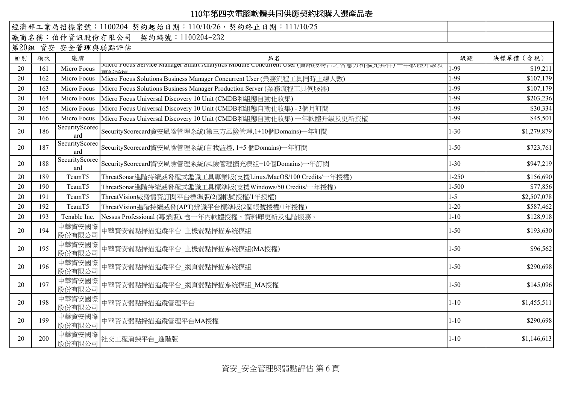|    |                   |                       | 經濟部工業局招標案號: 1100204 契約起始日期: 110/10/26, 契約終止日期: 111/10/25                                    |           |             |  |  |  |  |
|----|-------------------|-----------------------|---------------------------------------------------------------------------------------------|-----------|-------------|--|--|--|--|
|    |                   |                       | 廠商名稱:伯仲資訊股份有限公司 契約編號:1100204-232                                                            |           |             |  |  |  |  |
|    | 第20組 資安_安全管理與弱點評估 |                       |                                                                                             |           |             |  |  |  |  |
| 組別 | 項次                | 廠牌                    | 品名                                                                                          | 級距        | 決標單價 (含稅)   |  |  |  |  |
| 20 | 161               | Micro Focus           | MICTO FOCUS Service Manager Smart Analytics Module Concurrent User (頁訊服務盲乙省慧汀忻擴允套件) 一年歌腹井級及 | 1-99      | \$19,211    |  |  |  |  |
| 20 | 162               | Micro Focus           | Micro Focus Solutions Business Manager Concurrent User (業務流程工具同時上線人數)                       | 1-99      | \$107,179   |  |  |  |  |
| 20 | 163               | Micro Focus           | Micro Focus Solutions Business Manager Production Server (業務流程工具伺服器)                        | 1-99      | \$107,179   |  |  |  |  |
| 20 | 164               | Micro Focus           | Micro Focus Universal Discovery 10 Unit (CMDB和組態自動化收集)                                      | 1-99      | \$203,236   |  |  |  |  |
| 20 | 165               | Micro Focus           | Micro Focus Universal Discovery 10 Unit (CMDB和組態自動化收集) - 3個月訂閱                              | 1-99      | \$30,334    |  |  |  |  |
| 20 | 166               | Micro Focus           | Micro Focus Universal Discovery 10 Unit (CMDB和組態自動化收集) 一年軟體升級及更新授權                          | 1-99      | \$45,501    |  |  |  |  |
| 20 | 186               | SecurityScorec<br>ard | SecurityScorecard資安風險管理系統(第三方風險管理,1+10個Domains)一年訂閱                                         | $1 - 30$  | \$1,279,879 |  |  |  |  |
| 20 | 187               | SecurityScorec<br>ard | SecurityScorecard資安風險管理系統(自我監控, 1+5 個Domains)一年訂閱                                           | $1 - 50$  | \$723,761   |  |  |  |  |
| 20 | 188               | SecurityScorec<br>ard | SecurityScorecard資安風險管理系統(風險管理擴充模組+10個Domains)一年訂閱                                          | $1 - 30$  | \$947,219   |  |  |  |  |
| 20 | 189               | TeamT5                | ThreatSonar進階持續威脅程式鑑識工具專業版(支援Linux/MacOS/100 Credits/一年授權)                                  | $1 - 250$ | \$156,690   |  |  |  |  |
| 20 | 190               | TeamT5                | ThreatSonar進階持續威脅程式鑑識工具標準版(支援Windows/50 Credits/一年授權)                                       | $1 - 500$ | \$77,856    |  |  |  |  |
| 20 | 191               | TeamT5                | ThreatVision威脅情資訂閱平台標準版(2個帳號授權/1年授權)                                                        | $1 - 5$   | \$2,507,078 |  |  |  |  |
| 20 | 192               | TeamT5                | ThreatVision進階持續威脅(APT)辨識平台標準版(2個帳號授權/1年授權)                                                 | $1 - 20$  | \$587,462   |  |  |  |  |
| 20 | 193               | Tenable Inc.          | Nessus Professional (專業版), 含一年內軟體授權、資料庫更新及進階服務。                                             | $1 - 10$  | \$128,918   |  |  |  |  |
| 20 | 194               | 中華資安國際<br>股份有限公司      | 中華資安弱點掃描追蹤平台_主機弱點掃描系統模組                                                                     | $1 - 50$  | \$193,630   |  |  |  |  |
| 20 | 195               | 中華資安國際<br>股份有限公司      | 中華資安弱點掃描追蹤平台_主機弱點掃描系統模組(MA授權)                                                               | $1 - 50$  | \$96,562    |  |  |  |  |
| 20 | 196               | 中華資安國際<br>股份有限公司      | 中華資安弱點掃描追蹤平台_網頁弱點掃描系統模組                                                                     | $1 - 50$  | \$290,698   |  |  |  |  |
| 20 | 197               | 中華資安國際<br>股份有限公司      | 中華資安弱點掃描追蹤平台_網頁弱點掃描系統模組_MA授權                                                                | $1 - 50$  | \$145,096   |  |  |  |  |
| 20 | 198               | 中華資安國際<br>股份有限公司      | 中華資安弱點掃描追蹤管理平台                                                                              | $1 - 10$  | \$1,455,511 |  |  |  |  |
| 20 | 199               | 中華資安國際<br>股份有限公司      | 中華資安弱點掃描追蹤管理平台MA授權                                                                          | $1 - 10$  | \$290,698   |  |  |  |  |
| 20 | 200               | 中華資安國際<br>股份有限公司      | 社交工程演練平台_進階版                                                                                | $1 - 10$  | \$1,146,613 |  |  |  |  |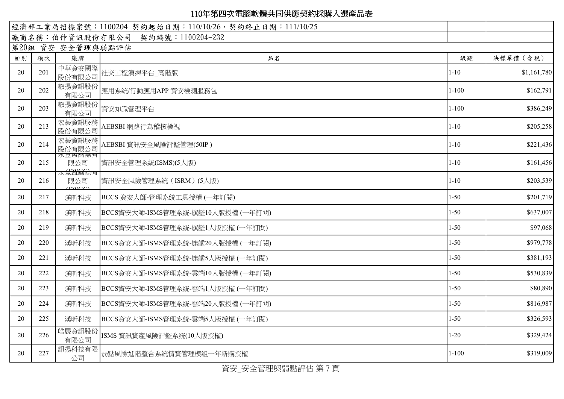| 廠商名稱:伯仲資訊股份有限公司 契約編號:1100204-232<br>第20組 資安 安全管理與弱點評估<br>決標單價 (含稅)<br>項次<br>廠牌<br>品名<br>級距<br>組別<br>中華資安國際<br>社交工程演練平台_高階版<br>20<br>201<br>$1 - 10$<br>股份有限公司<br>叡揚資訊股份<br>202<br>$1 - 100$<br>20<br>應用系統/行動應用APP 資安檢測服務包<br>有限公司<br>叡揚資訊股份<br>203<br>$1 - 100$<br>20<br>資安知識管理平台<br>有限公司<br>宏碁資訊服務<br>$1 - 10$<br>213<br>AEBSBI 網路行為稽核檢視<br>20<br>股份有限公司<br>宏碁資訊服務<br>$1 - 10$<br>214<br>20<br>AEBSBI 資訊安全風險評鑑管理(50IP )<br>股份有限公司<br>水豆盆図院月<br>$1 - 10$<br>20<br>215<br>限公司<br>資訊安全管理系統(ISMS)(5人版)<br>水量盈圆除有<br>$1 - 10$<br>20<br>216<br>資訊安全風險管理系統 (ISRM) (5人版)<br>限公司<br>(TWCC)<br>$1 - 50$<br>20<br>217<br>漢昕科技<br>BCCS 資安大師-管理系統工具授權 (一年訂閱)<br>$1 - 50$<br>20<br>218<br>BCCS資安大師-ISMS管理系統-旗艦10人版授權 (一年訂閱)<br>漢昕科技<br>$1 - 50$<br>20<br>219<br>漢昕科技<br>BCCS資安大師-ISMS管理系統-旗艦1人版授權 (一年訂閱)<br>$1 - 50$<br>20<br>220<br>BCCS資安大師-ISMS管理系統-旗艦20人版授權 (一年訂閱)<br>漢昕科技<br>$1 - 50$<br>20<br>漢昕科技<br>BCCS資安大師-ISMS管理系統-旗艦5人版授權(一年訂閱)<br>221<br>20<br>222<br>$1 - 50$<br>漢昕科技<br>BCCS資安大師-ISMS管理系統-雲端10人版授權 (一年訂閱)<br>$1 - 50$<br>20<br>223<br>漢昕科技<br>BCCS資安大師-ISMS管理系統-雲端1人版授權 (一年訂閱)<br>$1 - 50$<br>20<br>224<br>漢昕科技<br>BCCS資安大師-ISMS管理系統-雲端20人版授權 (一年訂閱)<br>225<br>$1 - 50$<br>20<br>漢昕科技<br>BCCS資安大師-ISMS管理系統-雲端5人版授權 (一年訂閱)<br>皓展資訊股份<br>226<br>$1 - 20$<br>20<br>ISMS 資訊資產風險評鑑系統(10人版授權)<br>有限公司<br>訊揚科技有限<br>227<br>20<br>弱點風險進階整合系統情資管理模組一年新購授權<br>$1 - 100$<br>公司 |  | 經濟部工業局招標案號:1100204 契約起始日期:110/10/26,契約終止日期:111/10/25 |             |
|-----------------------------------------------------------------------------------------------------------------------------------------------------------------------------------------------------------------------------------------------------------------------------------------------------------------------------------------------------------------------------------------------------------------------------------------------------------------------------------------------------------------------------------------------------------------------------------------------------------------------------------------------------------------------------------------------------------------------------------------------------------------------------------------------------------------------------------------------------------------------------------------------------------------------------------------------------------------------------------------------------------------------------------------------------------------------------------------------------------------------------------------------------------------------------------------------------------------------------------------------------------------------------------------------------------------------------------------------------------------------|--|------------------------------------------------------|-------------|
|                                                                                                                                                                                                                                                                                                                                                                                                                                                                                                                                                                                                                                                                                                                                                                                                                                                                                                                                                                                                                                                                                                                                                                                                                                                                                                                                                                       |  |                                                      |             |
|                                                                                                                                                                                                                                                                                                                                                                                                                                                                                                                                                                                                                                                                                                                                                                                                                                                                                                                                                                                                                                                                                                                                                                                                                                                                                                                                                                       |  |                                                      |             |
|                                                                                                                                                                                                                                                                                                                                                                                                                                                                                                                                                                                                                                                                                                                                                                                                                                                                                                                                                                                                                                                                                                                                                                                                                                                                                                                                                                       |  |                                                      |             |
|                                                                                                                                                                                                                                                                                                                                                                                                                                                                                                                                                                                                                                                                                                                                                                                                                                                                                                                                                                                                                                                                                                                                                                                                                                                                                                                                                                       |  |                                                      | \$1,161,780 |
|                                                                                                                                                                                                                                                                                                                                                                                                                                                                                                                                                                                                                                                                                                                                                                                                                                                                                                                                                                                                                                                                                                                                                                                                                                                                                                                                                                       |  |                                                      | \$162,791   |
|                                                                                                                                                                                                                                                                                                                                                                                                                                                                                                                                                                                                                                                                                                                                                                                                                                                                                                                                                                                                                                                                                                                                                                                                                                                                                                                                                                       |  |                                                      | \$386,249   |
|                                                                                                                                                                                                                                                                                                                                                                                                                                                                                                                                                                                                                                                                                                                                                                                                                                                                                                                                                                                                                                                                                                                                                                                                                                                                                                                                                                       |  |                                                      | \$205,258   |
|                                                                                                                                                                                                                                                                                                                                                                                                                                                                                                                                                                                                                                                                                                                                                                                                                                                                                                                                                                                                                                                                                                                                                                                                                                                                                                                                                                       |  |                                                      | \$221,436   |
|                                                                                                                                                                                                                                                                                                                                                                                                                                                                                                                                                                                                                                                                                                                                                                                                                                                                                                                                                                                                                                                                                                                                                                                                                                                                                                                                                                       |  |                                                      | \$161,456   |
|                                                                                                                                                                                                                                                                                                                                                                                                                                                                                                                                                                                                                                                                                                                                                                                                                                                                                                                                                                                                                                                                                                                                                                                                                                                                                                                                                                       |  |                                                      | \$203,539   |
|                                                                                                                                                                                                                                                                                                                                                                                                                                                                                                                                                                                                                                                                                                                                                                                                                                                                                                                                                                                                                                                                                                                                                                                                                                                                                                                                                                       |  |                                                      | \$201,719   |
|                                                                                                                                                                                                                                                                                                                                                                                                                                                                                                                                                                                                                                                                                                                                                                                                                                                                                                                                                                                                                                                                                                                                                                                                                                                                                                                                                                       |  |                                                      | \$637,007   |
|                                                                                                                                                                                                                                                                                                                                                                                                                                                                                                                                                                                                                                                                                                                                                                                                                                                                                                                                                                                                                                                                                                                                                                                                                                                                                                                                                                       |  |                                                      | \$97,068    |
|                                                                                                                                                                                                                                                                                                                                                                                                                                                                                                                                                                                                                                                                                                                                                                                                                                                                                                                                                                                                                                                                                                                                                                                                                                                                                                                                                                       |  |                                                      | \$979,778   |
|                                                                                                                                                                                                                                                                                                                                                                                                                                                                                                                                                                                                                                                                                                                                                                                                                                                                                                                                                                                                                                                                                                                                                                                                                                                                                                                                                                       |  |                                                      | \$381,193   |
|                                                                                                                                                                                                                                                                                                                                                                                                                                                                                                                                                                                                                                                                                                                                                                                                                                                                                                                                                                                                                                                                                                                                                                                                                                                                                                                                                                       |  |                                                      | \$530,839   |
|                                                                                                                                                                                                                                                                                                                                                                                                                                                                                                                                                                                                                                                                                                                                                                                                                                                                                                                                                                                                                                                                                                                                                                                                                                                                                                                                                                       |  |                                                      | \$80,890    |
|                                                                                                                                                                                                                                                                                                                                                                                                                                                                                                                                                                                                                                                                                                                                                                                                                                                                                                                                                                                                                                                                                                                                                                                                                                                                                                                                                                       |  |                                                      | \$816,987   |
|                                                                                                                                                                                                                                                                                                                                                                                                                                                                                                                                                                                                                                                                                                                                                                                                                                                                                                                                                                                                                                                                                                                                                                                                                                                                                                                                                                       |  |                                                      | \$326,593   |
|                                                                                                                                                                                                                                                                                                                                                                                                                                                                                                                                                                                                                                                                                                                                                                                                                                                                                                                                                                                                                                                                                                                                                                                                                                                                                                                                                                       |  |                                                      | \$329,424   |
| $\bullet$ . Additional object that the second policy is a finite second that $\bullet$                                                                                                                                                                                                                                                                                                                                                                                                                                                                                                                                                                                                                                                                                                                                                                                                                                                                                                                                                                                                                                                                                                                                                                                                                                                                                |  |                                                      | \$319,009   |

資安\_安全管理與弱點評估 第 7 頁